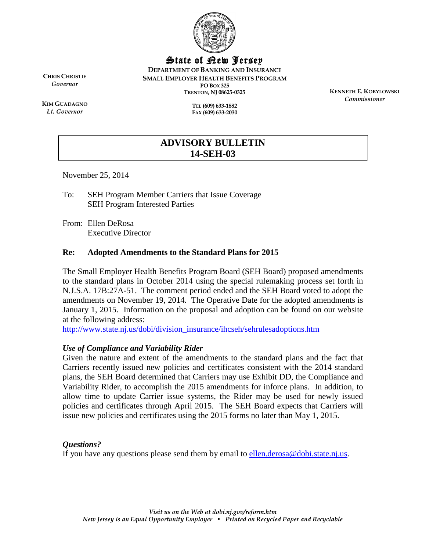

# State of New Jersey

**DEPARTMENT OF BANKING AND INSURANCE SMALL EMPLOYER HEALTH BENEFITS PROGRAM PO BOX 325 TRENTON, NJ 08625-0325**

> **TEL (609) 633-1882 FAX (609) 633-2030**

**KENNETH E. KOBYLOWSKI** *Commissioner*

**KIM GUADAGNO** *Lt. Governor*

**CHRIS CHRISTIE** *Governor*

> **ADVISORY BULLETIN 14-SEH-03**

November 25, 2014

To: SEH Program Member Carriers that Issue Coverage SEH Program Interested Parties

From: Ellen DeRosa Executive Director

### **Re: Adopted Amendments to the Standard Plans for 2015**

The Small Employer Health Benefits Program Board (SEH Board) proposed amendments to the standard plans in October 2014 using the special rulemaking process set forth in N.J.S.A. 17B:27A-51. The comment period ended and the SEH Board voted to adopt the amendments on November 19, 2014. The Operative Date for the adopted amendments is January 1, 2015. Information on the proposal and adoption can be found on our website at the following address:

[http://www.state.nj.us/dobi/division\\_insurance/ihcseh/sehrulesadoptions.htm](http://www.state.nj.us/dobi/division_insurance/ihcseh/sehrulesadoptions.htm)

#### *Use of Compliance and Variability Rider*

Given the nature and extent of the amendments to the standard plans and the fact that Carriers recently issued new policies and certificates consistent with the 2014 standard plans, the SEH Board determined that Carriers may use Exhibit DD, the Compliance and Variability Rider, to accomplish the 2015 amendments for inforce plans. In addition, to allow time to update Carrier issue systems, the Rider may be used for newly issued policies and certificates through April 2015. The SEH Board expects that Carriers will issue new policies and certificates using the 2015 forms no later than May 1, 2015.

# *Questions?*

If you have any questions please send them by email to  $\frac{$ ellen.derosa@dobi.state.nj.us.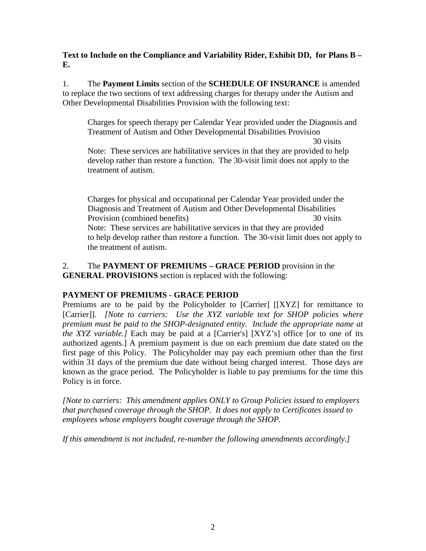**Text to Include on the Compliance and Variability Rider, Exhibit DD, for Plans B – E.** 

1. The **Payment Limits** section of the **SCHEDULE OF INSURANCE** is amended to replace the two sections of text addressing charges for therapy under the Autism and Other Developmental Disabilities Provision with the following text:

Charges for speech therapy per Calendar Year provided under the Diagnosis and Treatment of Autism and Other Developmental Disabilities Provision

30 visits

Note: These services are habilitative services in that they are provided to help develop rather than restore a function. The 30-visit limit does not apply to the treatment of autism.

Charges for physical and occupational per Calendar Year provided under the Diagnosis and Treatment of Autism and Other Developmental Disabilities Provision (combined benefits) 30 visits Note: These services are habilitative services in that they are provided to help develop rather than restore a function. The 30-visit limit does not apply to the treatment of autism.

# 2. The **PAYMENT OF PREMIUMS – GRACE PERIOD** provision in the **GENERAL PROVISIONS** section is replaced with the following:

# **PAYMENT OF PREMIUMS - GRACE PERIOD**

Premiums are to be paid by the Policyholder to [Carrier] [[XYZ] for remittance to [Carrier]]. *[Note to carriers: Use the XYZ variable text for SHOP policies where premium must be paid to the SHOP-designated entity. Include the appropriate name at the XYZ variable.]* Each may be paid at a [Carrier's] [XYZ's] office [or to one of its authorized agents.] A premium payment is due on each premium due date stated on the first page of this Policy. The Policyholder may pay each premium other than the first within 31 days of the premium due date without being charged interest. Those days are known as the grace period. The Policyholder is liable to pay premiums for the time this Policy is in force.

*[Note to carriers: This amendment applies ONLY to Group Policies issued to employers that purchased coverage through the SHOP. It does not apply to Certificates issued to employees whose employers bought coverage through the SHOP.*

*If this amendment is not included, re-number the following amendments accordingly.]*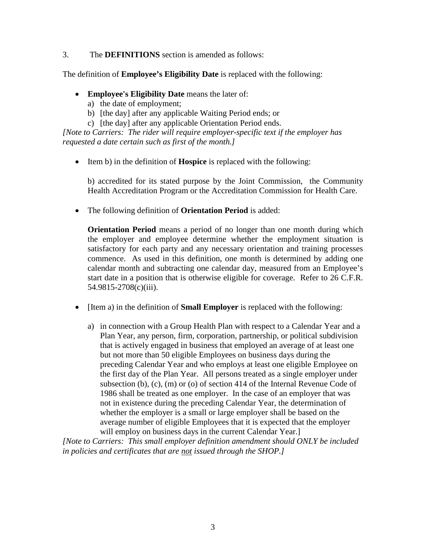#### 3. The **DEFINITIONS** section is amended as follows:

The definition of **Employee's Eligibility Date** is replaced with the following:

- **Employee's Eligibility Date** means the later of:
	- a) the date of employment;
	- b) [the day] after any applicable Waiting Period ends; or
	- c) [the day] after any applicable Orientation Period ends.

*[Note to Carriers: The rider will require employer-specific text if the employer has requested a date certain such as first of the month.]*

• Item b) in the definition of **Hospice** is replaced with the following:

b) accredited for its stated purpose by the Joint Commission, the Community Health Accreditation Program or the Accreditation Commission for Health Care.

• The following definition of **Orientation Period** is added:

**Orientation Period** means a period of no longer than one month during which the employer and employee determine whether the employment situation is satisfactory for each party and any necessary orientation and training processes commence. As used in this definition, one month is determined by adding one calendar month and subtracting one calendar day, measured from an Employee's start date in a position that is otherwise eligible for coverage. Refer to 26 C.F.R. 54.9815-2708(c)(iii).

- [Item a) in the definition of **Small Employer** is replaced with the following:
	- a) in connection with a Group Health Plan with respect to a Calendar Year and a Plan Year, any person, firm, corporation, partnership, or political subdivision that is actively engaged in business that employed an average of at least one but not more than 50 eligible Employees on business days during the preceding Calendar Year and who employs at least one eligible Employee on the first day of the Plan Year. All persons treated as a single employer under subsection (b), (c), (m) or (o) of section 414 of the Internal Revenue Code of 1986 shall be treated as one employer. In the case of an employer that was not in existence during the preceding Calendar Year, the determination of whether the employer is a small or large employer shall be based on the average number of eligible Employees that it is expected that the employer will employ on business days in the current Calendar Year.]

*[Note to Carriers: This small employer definition amendment should ONLY be included in policies and certificates that are not issued through the SHOP.]*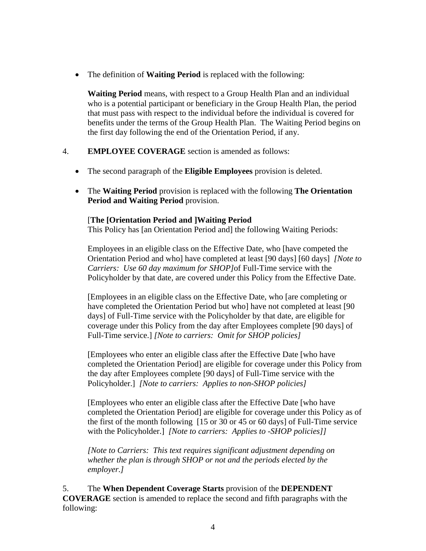• The definition of **Waiting Period** is replaced with the following:

**Waiting Period** means, with respect to a Group Health Plan and an individual who is a potential participant or beneficiary in the Group Health Plan, the period that must pass with respect to the individual before the individual is covered for benefits under the terms of the Group Health Plan. The Waiting Period begins on the first day following the end of the Orientation Period, if any.

# 4. **EMPLOYEE COVERAGE** section is amended as follows:

- The second paragraph of the **Eligible Employees** provision is deleted.
- The **Waiting Period** provision is replaced with the following **The Orientation Period and Waiting Period** provision.

# [**The [Orientation Period and ]Waiting Period**

This Policy has [an Orientation Period and] the following Waiting Periods:

Employees in an eligible class on the Effective Date, who [have competed the Orientation Period and who] have completed at least [90 days] [60 days] *[Note to Carriers: Use 60 day maximum for SHOP]*of Full-Time service with the Policyholder by that date, are covered under this Policy from the Effective Date.

[Employees in an eligible class on the Effective Date, who [are completing or have completed the Orientation Period but who] have not completed at least [90] days] of Full-Time service with the Policyholder by that date, are eligible for coverage under this Policy from the day after Employees complete [90 days] of Full-Time service.] *[Note to carriers: Omit for SHOP policies]*

[Employees who enter an eligible class after the Effective Date [who have completed the Orientation Period] are eligible for coverage under this Policy from the day after Employees complete [90 days] of Full-Time service with the Policyholder.] *[Note to carriers: Applies to non-SHOP policies]*

[Employees who enter an eligible class after the Effective Date [who have completed the Orientation Period] are eligible for coverage under this Policy as of the first of the month following [15 or 30 or 45 or 60 days] of Full-Time service with the Policyholder.] *[Note to carriers: Applies to -SHOP policies]]*

*[Note to Carriers: This text requires significant adjustment depending on whether the plan is through SHOP or not and the periods elected by the employer.]*

5. The **When Dependent Coverage Starts** provision of the **DEPENDENT COVERAGE** section is amended to replace the second and fifth paragraphs with the following: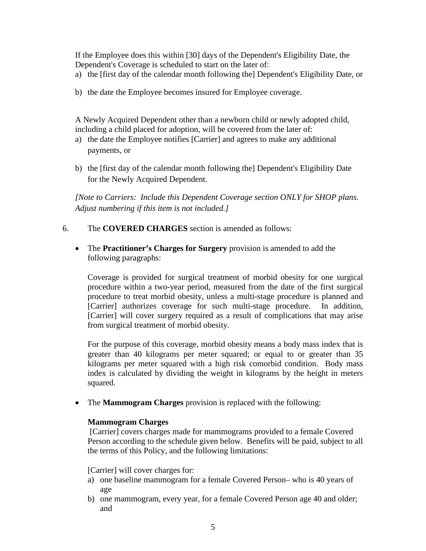If the Employee does this within [30] days of the Dependent's Eligibility Date, the Dependent's Coverage is scheduled to start on the later of:

- a) the [first day of the calendar month following the] Dependent's Eligibility Date, or
- b) the date the Employee becomes insured for Employee coverage.

A Newly Acquired Dependent other than a newborn child or newly adopted child, including a child placed for adoption, will be covered from the later of:

- a) the date the Employee notifies [Carrier] and agrees to make any additional payments, or
- b) the [first day of the calendar month following the] Dependent's Eligibility Date for the Newly Acquired Dependent.

*[Note to Carriers: Include this Dependent Coverage section ONLY for SHOP plans. Adjust numbering if this item is not included.]*

- 6. The **COVERED CHARGES** section is amended as follows:
	- The **Practitioner's Charges for Surgery** provision is amended to add the following paragraphs:

Coverage is provided for surgical treatment of morbid obesity for one surgical procedure within a two-year period, measured from the date of the first surgical procedure to treat morbid obesity, unless a multi-stage procedure is planned and [Carrier] authorizes coverage for such multi-stage procedure. In addition, [Carrier] will cover surgery required as a result of complications that may arise from surgical treatment of morbid obesity.

For the purpose of this coverage, morbid obesity means a body mass index that is greater than 40 kilograms per meter squared; or equal to or greater than 35 kilograms per meter squared with a high risk comorbid condition. Body mass index is calculated by dividing the weight in kilograms by the height in meters squared.

• The **Mammogram Charges** provision is replaced with the following:

#### **Mammogram Charges**

[Carrier] covers charges made for mammograms provided to a female Covered Person according to the schedule given below. Benefits will be paid, subject to all the terms of this Policy, and the following limitations:

[Carrier] will cover charges for:

- a) one baseline mammogram for a female Covered Person– who is 40 years of age
- b) one mammogram, every year, for a female Covered Person age 40 and older; and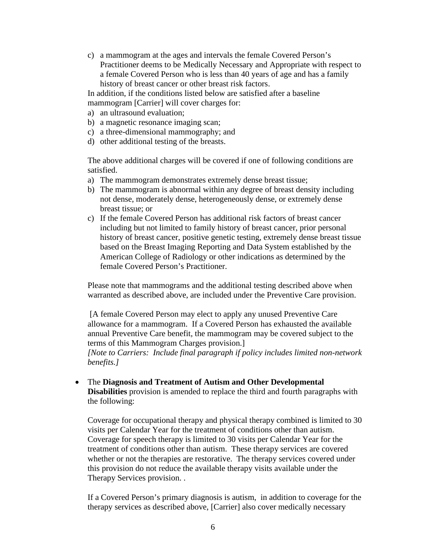c) a mammogram at the ages and intervals the female Covered Person's Practitioner deems to be Medically Necessary and Appropriate with respect to a female Covered Person who is less than 40 years of age and has a family history of breast cancer or other breast risk factors.

In addition, if the conditions listed below are satisfied after a baseline mammogram [Carrier] will cover charges for:

- a) an ultrasound evaluation;
- b) a magnetic resonance imaging scan;
- c) a three-dimensional mammography; and
- d) other additional testing of the breasts.

The above additional charges will be covered if one of following conditions are satisfied.

- a) The mammogram demonstrates extremely dense breast tissue;
- b) The mammogram is abnormal within any degree of breast density including not dense, moderately dense, heterogeneously dense, or extremely dense breast tissue; or
- c) If the female Covered Person has additional risk factors of breast cancer including but not limited to family history of breast cancer, prior personal history of breast cancer, positive genetic testing, extremely dense breast tissue based on the Breast Imaging Reporting and Data System established by the American College of Radiology or other indications as determined by the female Covered Person's Practitioner.

Please note that mammograms and the additional testing described above when warranted as described above, are included under the Preventive Care provision.

[A female Covered Person may elect to apply any unused Preventive Care allowance for a mammogram. If a Covered Person has exhausted the available annual Preventive Care benefit, the mammogram may be covered subject to the terms of this Mammogram Charges provision.]

*[Note to Carriers: Include final paragraph if policy includes limited non-network benefits.]* 

• The **Diagnosis and Treatment of Autism and Other Developmental Disabilities** provision is amended to replace the third and fourth paragraphs with the following:

Coverage for occupational therapy and physical therapy combined is limited to 30 visits per Calendar Year for the treatment of conditions other than autism. Coverage for speech therapy is limited to 30 visits per Calendar Year for the treatment of conditions other than autism. These therapy services are covered whether or not the therapies are restorative. The therapy services covered under this provision do not reduce the available therapy visits available under the Therapy Services provision. .

If a Covered Person's primary diagnosis is autism, in addition to coverage for the therapy services as described above, [Carrier] also cover medically necessary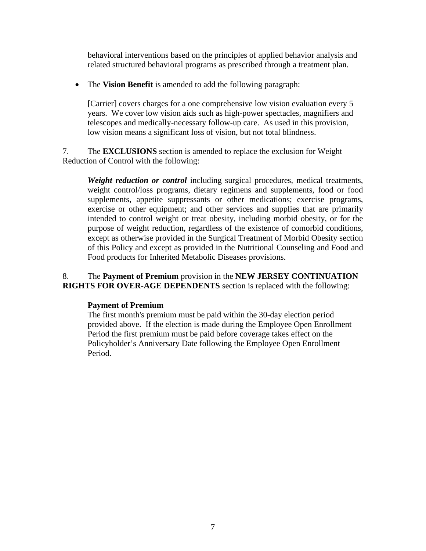behavioral interventions based on the principles of applied behavior analysis and related structured behavioral programs as prescribed through a treatment plan.

• The **Vision Benefit** is amended to add the following paragraph:

[Carrier] covers charges for a one comprehensive low vision evaluation every 5 years. We cover low vision aids such as high-power spectacles, magnifiers and telescopes and medically-necessary follow-up care. As used in this provision, low vision means a significant loss of vision, but not total blindness.

7. The **EXCLUSIONS** section is amended to replace the exclusion for Weight Reduction of Control with the following:

*Weight reduction or control* including surgical procedures, medical treatments, weight control/loss programs, dietary regimens and supplements, food or food supplements, appetite suppressants or other medications; exercise programs, exercise or other equipment; and other services and supplies that are primarily intended to control weight or treat obesity, including morbid obesity, or for the purpose of weight reduction, regardless of the existence of comorbid conditions, except as otherwise provided in the Surgical Treatment of Morbid Obesity section of this Policy and except as provided in the Nutritional Counseling and Food and Food products for Inherited Metabolic Diseases provisions.

### 8. The **Payment of Premium** provision in the **NEW JERSEY CONTINUATION RIGHTS FOR OVER-AGE DEPENDENTS** section is replaced with the following:

#### **Payment of Premium**

The first month's premium must be paid within the 30-day election period provided above. If the election is made during the Employee Open Enrollment Period the first premium must be paid before coverage takes effect on the Policyholder's Anniversary Date following the Employee Open Enrollment Period.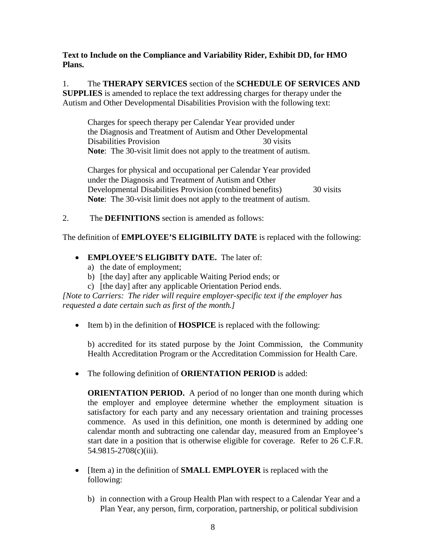### **Text to Include on the Compliance and Variability Rider, Exhibit DD, for HMO Plans.**

1. The **THERAPY SERVICES** section of the **SCHEDULE OF SERVICES AND SUPPLIES** is amended to replace the text addressing charges for therapy under the Autism and Other Developmental Disabilities Provision with the following text:

Charges for speech therapy per Calendar Year provided under the Diagnosis and Treatment of Autism and Other Developmental Disabilities Provision 30 visits **Note**: The 30-visit limit does not apply to the treatment of autism.

Charges for physical and occupational per Calendar Year provided under the Diagnosis and Treatment of Autism and Other Developmental Disabilities Provision (combined benefits) 30 visits **Note**: The 30-visit limit does not apply to the treatment of autism.

2. The **DEFINITIONS** section is amended as follows:

The definition of **EMPLOYEE'S ELIGIBILITY DATE** is replaced with the following:

- **EMPLOYEE'S ELIGIBITY DATE.** The later of:
	- a) the date of employment;
	- b) [the day] after any applicable Waiting Period ends; or
	- c) [the day] after any applicable Orientation Period ends.

*[Note to Carriers: The rider will require employer-specific text if the employer has requested a date certain such as first of the month.]*

• Item b) in the definition of **HOSPICE** is replaced with the following:

b) accredited for its stated purpose by the Joint Commission, the Community Health Accreditation Program or the Accreditation Commission for Health Care.

• The following definition of **ORIENTATION PERIOD** is added:

**ORIENTATION PERIOD.** A period of no longer than one month during which the employer and employee determine whether the employment situation is satisfactory for each party and any necessary orientation and training processes commence. As used in this definition, one month is determined by adding one calendar month and subtracting one calendar day, measured from an Employee's start date in a position that is otherwise eligible for coverage. Refer to 26 C.F.R. 54.9815-2708(c)(iii).

- [Item a) in the definition of **SMALL EMPLOYER** is replaced with the following:
	- b) in connection with a Group Health Plan with respect to a Calendar Year and a Plan Year, any person, firm, corporation, partnership, or political subdivision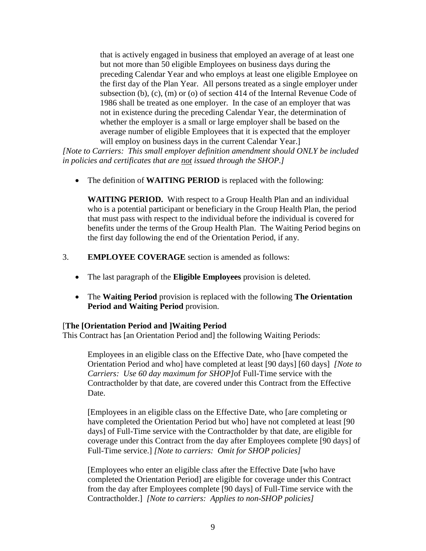that is actively engaged in business that employed an average of at least one but not more than 50 eligible Employees on business days during the preceding Calendar Year and who employs at least one eligible Employee on the first day of the Plan Year. All persons treated as a single employer under subsection (b), (c), (m) or (o) of section 414 of the Internal Revenue Code of 1986 shall be treated as one employer. In the case of an employer that was not in existence during the preceding Calendar Year, the determination of whether the employer is a small or large employer shall be based on the average number of eligible Employees that it is expected that the employer will employ on business days in the current Calendar Year.]

*[Note to Carriers: This small employer definition amendment should ONLY be included in policies and certificates that are not issued through the SHOP.]*

• The definition of **WAITING PERIOD** is replaced with the following:

**WAITING PERIOD.** With respect to a Group Health Plan and an individual who is a potential participant or beneficiary in the Group Health Plan, the period that must pass with respect to the individual before the individual is covered for benefits under the terms of the Group Health Plan. The Waiting Period begins on the first day following the end of the Orientation Period, if any.

- 3. **EMPLOYEE COVERAGE** section is amended as follows:
	- The last paragraph of the **Eligible Employees** provision is deleted.
	- The **Waiting Period** provision is replaced with the following **The Orientation Period and Waiting Period** provision.

#### [**The [Orientation Period and ]Waiting Period**

This Contract has [an Orientation Period and] the following Waiting Periods:

Employees in an eligible class on the Effective Date, who [have competed the Orientation Period and who] have completed at least [90 days] [60 days] *[Note to Carriers: Use 60 day maximum for SHOP]*of Full-Time service with the Contractholder by that date, are covered under this Contract from the Effective Date.

[Employees in an eligible class on the Effective Date, who [are completing or have completed the Orientation Period but who] have not completed at least [90] days] of Full-Time service with the Contractholder by that date, are eligible for coverage under this Contract from the day after Employees complete [90 days] of Full-Time service.] *[Note to carriers: Omit for SHOP policies]*

[Employees who enter an eligible class after the Effective Date [who have completed the Orientation Period] are eligible for coverage under this Contract from the day after Employees complete [90 days] of Full-Time service with the Contractholder.] *[Note to carriers: Applies to non-SHOP policies]*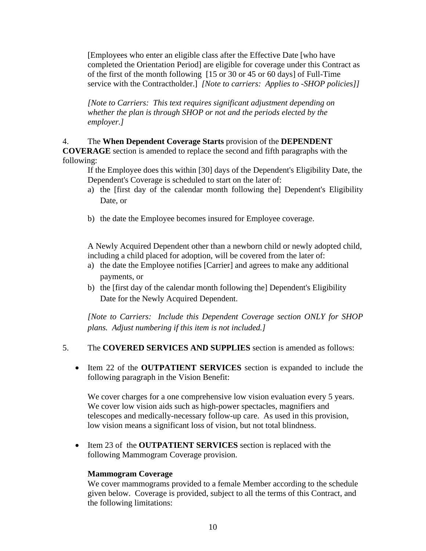[Employees who enter an eligible class after the Effective Date [who have completed the Orientation Period] are eligible for coverage under this Contract as of the first of the month following [15 or 30 or 45 or 60 days] of Full-Time service with the Contractholder.] *[Note to carriers: Applies to -SHOP policies]]*

*[Note to Carriers: This text requires significant adjustment depending on whether the plan is through SHOP or not and the periods elected by the employer.]*

#### 4. The **When Dependent Coverage Starts** provision of the **DEPENDENT**

**COVERAGE** section is amended to replace the second and fifth paragraphs with the following:

If the Employee does this within [30] days of the Dependent's Eligibility Date, the Dependent's Coverage is scheduled to start on the later of:

- a) the [first day of the calendar month following the] Dependent's Eligibility Date, or
- b) the date the Employee becomes insured for Employee coverage.

A Newly Acquired Dependent other than a newborn child or newly adopted child, including a child placed for adoption, will be covered from the later of:

- a) the date the Employee notifies [Carrier] and agrees to make any additional payments, or
- b) the [first day of the calendar month following the] Dependent's Eligibility Date for the Newly Acquired Dependent.

*[Note to Carriers: Include this Dependent Coverage section ONLY for SHOP plans. Adjust numbering if this item is not included.]*

#### 5. The **COVERED SERVICES AND SUPPLIES** section is amended as follows:

• Item 22 of the **OUTPATIENT SERVICES** section is expanded to include the following paragraph in the Vision Benefit:

We cover charges for a one comprehensive low vision evaluation every 5 years. We cover low vision aids such as high-power spectacles, magnifiers and telescopes and medically-necessary follow-up care. As used in this provision, low vision means a significant loss of vision, but not total blindness.

• Item 23 of the **OUTPATIENT SERVICES** section is replaced with the following Mammogram Coverage provision.

#### **Mammogram Coverage**

We cover mammograms provided to a female Member according to the schedule given below. Coverage is provided, subject to all the terms of this Contract, and the following limitations: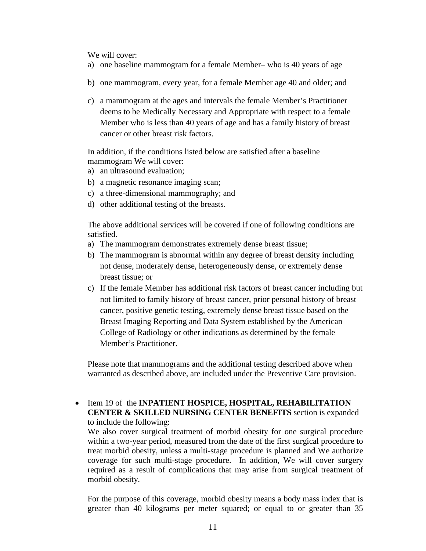We will cover:

- a) one baseline mammogram for a female Member– who is 40 years of age
- b) one mammogram, every year, for a female Member age 40 and older; and
- c) a mammogram at the ages and intervals the female Member's Practitioner deems to be Medically Necessary and Appropriate with respect to a female Member who is less than 40 years of age and has a family history of breast cancer or other breast risk factors.

In addition, if the conditions listed below are satisfied after a baseline mammogram We will cover:

- a) an ultrasound evaluation;
- b) a magnetic resonance imaging scan;
- c) a three-dimensional mammography; and
- d) other additional testing of the breasts.

The above additional services will be covered if one of following conditions are satisfied.

- a) The mammogram demonstrates extremely dense breast tissue;
- b) The mammogram is abnormal within any degree of breast density including not dense, moderately dense, heterogeneously dense, or extremely dense breast tissue; or
- c) If the female Member has additional risk factors of breast cancer including but not limited to family history of breast cancer, prior personal history of breast cancer, positive genetic testing, extremely dense breast tissue based on the Breast Imaging Reporting and Data System established by the American College of Radiology or other indications as determined by the female Member's Practitioner.

Please note that mammograms and the additional testing described above when warranted as described above, are included under the Preventive Care provision.

• Item 19 of the **INPATIENT HOSPICE, HOSPITAL, REHABILITATION CENTER & SKILLED NURSING CENTER BENEFITS** section is expanded to include the following:

We also cover surgical treatment of morbid obesity for one surgical procedure within a two-year period, measured from the date of the first surgical procedure to treat morbid obesity, unless a multi-stage procedure is planned and We authorize coverage for such multi-stage procedure. In addition, We will cover surgery required as a result of complications that may arise from surgical treatment of morbid obesity.

For the purpose of this coverage, morbid obesity means a body mass index that is greater than 40 kilograms per meter squared; or equal to or greater than 35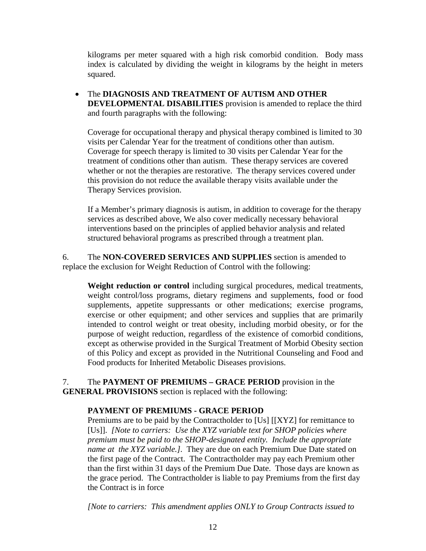kilograms per meter squared with a high risk comorbid condition. Body mass index is calculated by dividing the weight in kilograms by the height in meters squared.

• The **DIAGNOSIS AND TREATMENT OF AUTISM AND OTHER DEVELOPMENTAL DISABILITIES** provision is amended to replace the third and fourth paragraphs with the following:

Coverage for occupational therapy and physical therapy combined is limited to 30 visits per Calendar Year for the treatment of conditions other than autism. Coverage for speech therapy is limited to 30 visits per Calendar Year for the treatment of conditions other than autism. These therapy services are covered whether or not the therapies are restorative. The therapy services covered under this provision do not reduce the available therapy visits available under the Therapy Services provision.

If a Member's primary diagnosis is autism, in addition to coverage for the therapy services as described above, We also cover medically necessary behavioral interventions based on the principles of applied behavior analysis and related structured behavioral programs as prescribed through a treatment plan.

6. The **NON-COVERED SERVICES AND SUPPLIES** section is amended to replace the exclusion for Weight Reduction of Control with the following:

**Weight reduction or control** including surgical procedures, medical treatments, weight control/loss programs, dietary regimens and supplements, food or food supplements, appetite suppressants or other medications; exercise programs, exercise or other equipment; and other services and supplies that are primarily intended to control weight or treat obesity, including morbid obesity, or for the purpose of weight reduction, regardless of the existence of comorbid conditions, except as otherwise provided in the Surgical Treatment of Morbid Obesity section of this Policy and except as provided in the Nutritional Counseling and Food and Food products for Inherited Metabolic Diseases provisions.

7. The **PAYMENT OF PREMIUMS – GRACE PERIOD** provision in the **GENERAL PROVISIONS** section is replaced with the following:

#### **PAYMENT OF PREMIUMS - GRACE PERIOD**

Premiums are to be paid by the Contractholder to [Us] [[XYZ] for remittance to [Us]]. *[Note to carriers: Use the XYZ variable text for SHOP policies where premium must be paid to the SHOP-designated entity. Include the appropriate name at the XYZ variable.]*. They are due on each Premium Due Date stated on the first page of the Contract. The Contractholder may pay each Premium other than the first within 31 days of the Premium Due Date. Those days are known as the grace period. The Contractholder is liable to pay Premiums from the first day the Contract is in force

*[Note to carriers: This amendment applies ONLY to Group Contracts issued to*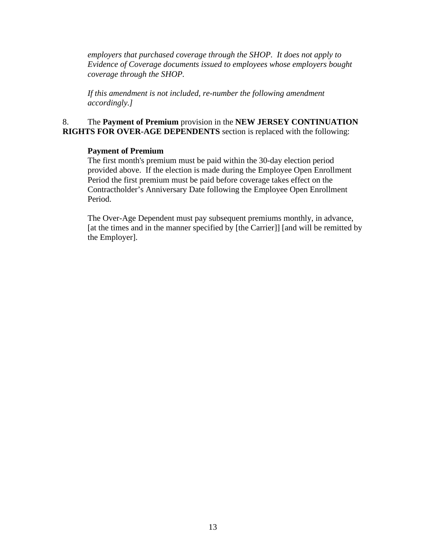*employers that purchased coverage through the SHOP. It does not apply to Evidence of Coverage documents issued to employees whose employers bought coverage through the SHOP.*

*If this amendment is not included, re-number the following amendment accordingly.]*

#### 8. The **Payment of Premium** provision in the **NEW JERSEY CONTINUATION RIGHTS FOR OVER-AGE DEPENDENTS** section is replaced with the following:

#### **Payment of Premium**

The first month's premium must be paid within the 30-day election period provided above. If the election is made during the Employee Open Enrollment Period the first premium must be paid before coverage takes effect on the Contractholder's Anniversary Date following the Employee Open Enrollment Period.

The Over-Age Dependent must pay subsequent premiums monthly, in advance, [at the times and in the manner specified by [the Carrier]] [and will be remitted by the Employer].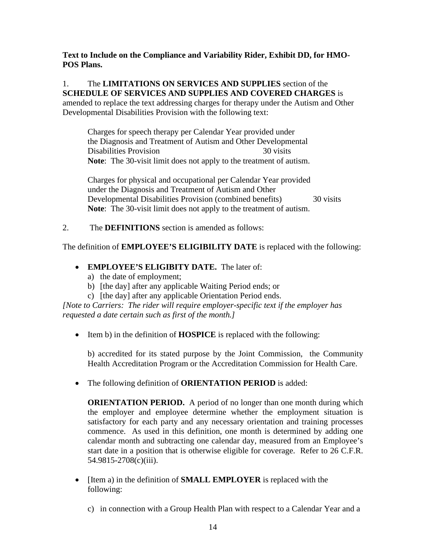### **Text to Include on the Compliance and Variability Rider, Exhibit DD, for HMO-POS Plans.**

# 1. The **LIMITATIONS ON SERVICES AND SUPPLIES** section of the **SCHEDULE OF SERVICES AND SUPPLIES AND COVERED CHARGES** is

amended to replace the text addressing charges for therapy under the Autism and Other Developmental Disabilities Provision with the following text:

Charges for speech therapy per Calendar Year provided under the Diagnosis and Treatment of Autism and Other Developmental Disabilities Provision 30 visits **Note**: The 30-visit limit does not apply to the treatment of autism.

Charges for physical and occupational per Calendar Year provided under the Diagnosis and Treatment of Autism and Other Developmental Disabilities Provision (combined benefits) 30 visits **Note**: The 30-visit limit does not apply to the treatment of autism.

2. The **DEFINITIONS** section is amended as follows:

The definition of **EMPLOYEE'S ELIGIBILITY DATE** is replaced with the following:

- **EMPLOYEE'S ELIGIBITY DATE.** The later of:
	- a) the date of employment;
	- b) [the day] after any applicable Waiting Period ends; or
	- c) [the day] after any applicable Orientation Period ends.

*[Note to Carriers: The rider will require employer-specific text if the employer has requested a date certain such as first of the month.]*

• Item b) in the definition of **HOSPICE** is replaced with the following:

b) accredited for its stated purpose by the Joint Commission, the Community Health Accreditation Program or the Accreditation Commission for Health Care.

• The following definition of **ORIENTATION PERIOD** is added:

**ORIENTATION PERIOD.** A period of no longer than one month during which the employer and employee determine whether the employment situation is satisfactory for each party and any necessary orientation and training processes commence. As used in this definition, one month is determined by adding one calendar month and subtracting one calendar day, measured from an Employee's start date in a position that is otherwise eligible for coverage. Refer to 26 C.F.R. 54.9815-2708(c)(iii).

- [Item a) in the definition of **SMALL EMPLOYER** is replaced with the following:
	- c) in connection with a Group Health Plan with respect to a Calendar Year and a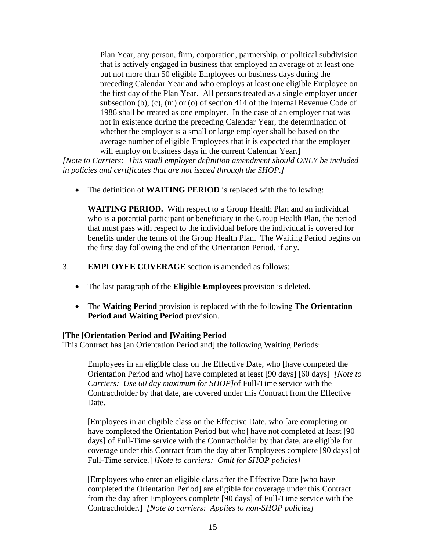Plan Year, any person, firm, corporation, partnership, or political subdivision that is actively engaged in business that employed an average of at least one but not more than 50 eligible Employees on business days during the preceding Calendar Year and who employs at least one eligible Employee on the first day of the Plan Year. All persons treated as a single employer under subsection (b), (c), (m) or (o) of section 414 of the Internal Revenue Code of 1986 shall be treated as one employer. In the case of an employer that was not in existence during the preceding Calendar Year, the determination of whether the employer is a small or large employer shall be based on the average number of eligible Employees that it is expected that the employer will employ on business days in the current Calendar Year.]

*[Note to Carriers: This small employer definition amendment should ONLY be included in policies and certificates that are not issued through the SHOP.]*

• The definition of **WAITING PERIOD** is replaced with the following:

**WAITING PERIOD.** With respect to a Group Health Plan and an individual who is a potential participant or beneficiary in the Group Health Plan, the period that must pass with respect to the individual before the individual is covered for benefits under the terms of the Group Health Plan. The Waiting Period begins on the first day following the end of the Orientation Period, if any.

- 3. **EMPLOYEE COVERAGE** section is amended as follows:
	- The last paragraph of the **Eligible Employees** provision is deleted.
	- The **Waiting Period** provision is replaced with the following **The Orientation Period and Waiting Period** provision.

#### [**The [Orientation Period and ]Waiting Period**

This Contract has [an Orientation Period and] the following Waiting Periods:

Employees in an eligible class on the Effective Date, who [have competed the Orientation Period and who] have completed at least [90 days] [60 days] *[Note to Carriers: Use 60 day maximum for SHOP]*of Full-Time service with the Contractholder by that date, are covered under this Contract from the Effective Date.

[Employees in an eligible class on the Effective Date, who [are completing or have completed the Orientation Period but who] have not completed at least [90] days] of Full-Time service with the Contractholder by that date, are eligible for coverage under this Contract from the day after Employees complete [90 days] of Full-Time service.] *[Note to carriers: Omit for SHOP policies]*

[Employees who enter an eligible class after the Effective Date [who have completed the Orientation Period] are eligible for coverage under this Contract from the day after Employees complete [90 days] of Full-Time service with the Contractholder.] *[Note to carriers: Applies to non-SHOP policies]*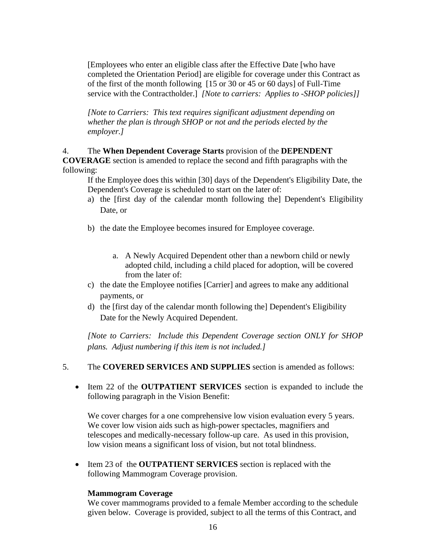[Employees who enter an eligible class after the Effective Date [who have completed the Orientation Period] are eligible for coverage under this Contract as of the first of the month following [15 or 30 or 45 or 60 days] of Full-Time service with the Contractholder.] *[Note to carriers: Applies to -SHOP policies]]*

*[Note to Carriers: This text requires significant adjustment depending on whether the plan is through SHOP or not and the periods elected by the employer.]*

### 4. The **When Dependent Coverage Starts** provision of the **DEPENDENT**

**COVERAGE** section is amended to replace the second and fifth paragraphs with the following:

If the Employee does this within [30] days of the Dependent's Eligibility Date, the Dependent's Coverage is scheduled to start on the later of:

- a) the [first day of the calendar month following the] Dependent's Eligibility Date, or
- b) the date the Employee becomes insured for Employee coverage.
	- a. A Newly Acquired Dependent other than a newborn child or newly adopted child, including a child placed for adoption, will be covered from the later of:
- c) the date the Employee notifies [Carrier] and agrees to make any additional payments, or
- d) the [first day of the calendar month following the] Dependent's Eligibility Date for the Newly Acquired Dependent.

*[Note to Carriers: Include this Dependent Coverage section ONLY for SHOP plans. Adjust numbering if this item is not included.]*

- 5. The **COVERED SERVICES AND SUPPLIES** section is amended as follows:
	- Item 22 of the **OUTPATIENT SERVICES** section is expanded to include the following paragraph in the Vision Benefit:

We cover charges for a one comprehensive low vision evaluation every 5 years. We cover low vision aids such as high-power spectacles, magnifiers and telescopes and medically-necessary follow-up care. As used in this provision, low vision means a significant loss of vision, but not total blindness.

• Item 23 of the **OUTPATIENT SERVICES** section is replaced with the following Mammogram Coverage provision.

#### **Mammogram Coverage**

We cover mammograms provided to a female Member according to the schedule given below. Coverage is provided, subject to all the terms of this Contract, and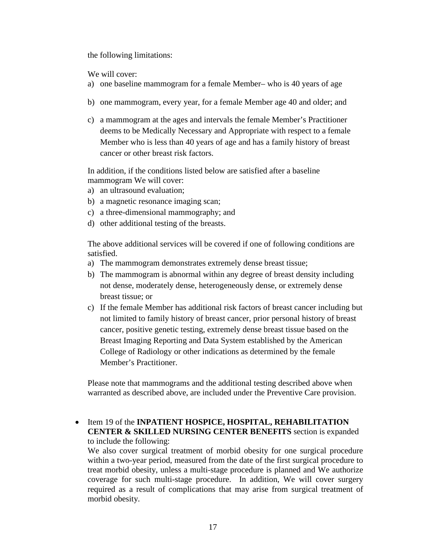the following limitations:

We will cover:

- a) one baseline mammogram for a female Member– who is 40 years of age
- b) one mammogram, every year, for a female Member age 40 and older; and
- c) a mammogram at the ages and intervals the female Member's Practitioner deems to be Medically Necessary and Appropriate with respect to a female Member who is less than 40 years of age and has a family history of breast cancer or other breast risk factors.

In addition, if the conditions listed below are satisfied after a baseline mammogram We will cover:

- a) an ultrasound evaluation;
- b) a magnetic resonance imaging scan;
- c) a three-dimensional mammography; and
- d) other additional testing of the breasts.

The above additional services will be covered if one of following conditions are satisfied.

- a) The mammogram demonstrates extremely dense breast tissue;
- b) The mammogram is abnormal within any degree of breast density including not dense, moderately dense, heterogeneously dense, or extremely dense breast tissue; or
- c) If the female Member has additional risk factors of breast cancer including but not limited to family history of breast cancer, prior personal history of breast cancer, positive genetic testing, extremely dense breast tissue based on the Breast Imaging Reporting and Data System established by the American College of Radiology or other indications as determined by the female Member's Practitioner.

Please note that mammograms and the additional testing described above when warranted as described above, are included under the Preventive Care provision.

• Item 19 of the **INPATIENT HOSPICE, HOSPITAL, REHABILITATION CENTER & SKILLED NURSING CENTER BENEFITS** section is expanded to include the following:

We also cover surgical treatment of morbid obesity for one surgical procedure within a two-year period, measured from the date of the first surgical procedure to treat morbid obesity, unless a multi-stage procedure is planned and We authorize coverage for such multi-stage procedure. In addition, We will cover surgery required as a result of complications that may arise from surgical treatment of morbid obesity.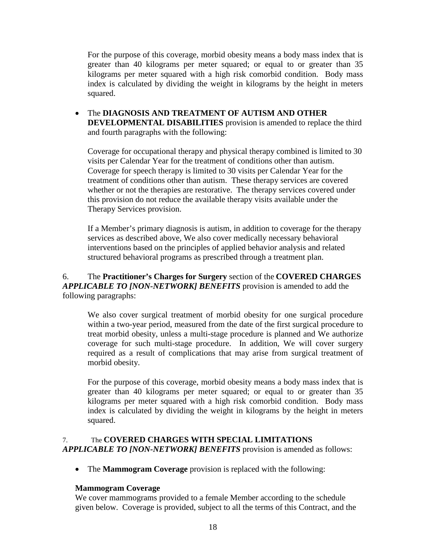For the purpose of this coverage, morbid obesity means a body mass index that is greater than 40 kilograms per meter squared; or equal to or greater than 35 kilograms per meter squared with a high risk comorbid condition. Body mass index is calculated by dividing the weight in kilograms by the height in meters squared.

• The **DIAGNOSIS AND TREATMENT OF AUTISM AND OTHER DEVELOPMENTAL DISABILITIES** provision is amended to replace the third and fourth paragraphs with the following:

Coverage for occupational therapy and physical therapy combined is limited to 30 visits per Calendar Year for the treatment of conditions other than autism. Coverage for speech therapy is limited to 30 visits per Calendar Year for the treatment of conditions other than autism. These therapy services are covered whether or not the therapies are restorative. The therapy services covered under this provision do not reduce the available therapy visits available under the Therapy Services provision.

If a Member's primary diagnosis is autism, in addition to coverage for the therapy services as described above, We also cover medically necessary behavioral interventions based on the principles of applied behavior analysis and related structured behavioral programs as prescribed through a treatment plan.

# 6. The **Practitioner's Charges for Surgery** section of the **COVERED CHARGES**  *APPLICABLE TO [NON-NETWORK] BENEFITS* provision is amended to add the following paragraphs:

We also cover surgical treatment of morbid obesity for one surgical procedure within a two-year period, measured from the date of the first surgical procedure to treat morbid obesity, unless a multi-stage procedure is planned and We authorize coverage for such multi-stage procedure. In addition, We will cover surgery required as a result of complications that may arise from surgical treatment of morbid obesity.

For the purpose of this coverage, morbid obesity means a body mass index that is greater than 40 kilograms per meter squared; or equal to or greater than 35 kilograms per meter squared with a high risk comorbid condition. Body mass index is calculated by dividing the weight in kilograms by the height in meters squared.

# 7. The **COVERED CHARGES WITH SPECIAL LIMITATIONS**  *APPLICABLE TO [NON-NETWORK] BENEFITS* provision is amended as follows:

• The **Mammogram Coverage** provision is replaced with the following:

# **Mammogram Coverage**

We cover mammograms provided to a female Member according to the schedule given below. Coverage is provided, subject to all the terms of this Contract, and the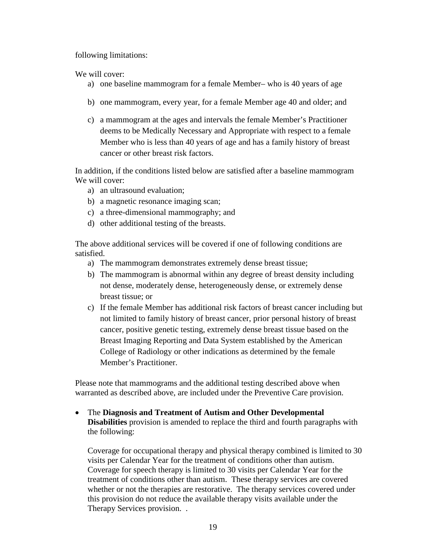following limitations:

We will cover:

- a) one baseline mammogram for a female Member– who is 40 years of age
- b) one mammogram, every year, for a female Member age 40 and older; and
- c) a mammogram at the ages and intervals the female Member's Practitioner deems to be Medically Necessary and Appropriate with respect to a female Member who is less than 40 years of age and has a family history of breast cancer or other breast risk factors.

In addition, if the conditions listed below are satisfied after a baseline mammogram We will cover:

- a) an ultrasound evaluation;
- b) a magnetic resonance imaging scan;
- c) a three-dimensional mammography; and
- d) other additional testing of the breasts.

The above additional services will be covered if one of following conditions are satisfied.

- a) The mammogram demonstrates extremely dense breast tissue;
- b) The mammogram is abnormal within any degree of breast density including not dense, moderately dense, heterogeneously dense, or extremely dense breast tissue; or
- c) If the female Member has additional risk factors of breast cancer including but not limited to family history of breast cancer, prior personal history of breast cancer, positive genetic testing, extremely dense breast tissue based on the Breast Imaging Reporting and Data System established by the American College of Radiology or other indications as determined by the female Member's Practitioner.

Please note that mammograms and the additional testing described above when warranted as described above, are included under the Preventive Care provision.

• The **Diagnosis and Treatment of Autism and Other Developmental Disabilities** provision is amended to replace the third and fourth paragraphs with the following:

Coverage for occupational therapy and physical therapy combined is limited to 30 visits per Calendar Year for the treatment of conditions other than autism. Coverage for speech therapy is limited to 30 visits per Calendar Year for the treatment of conditions other than autism. These therapy services are covered whether or not the therapies are restorative. The therapy services covered under this provision do not reduce the available therapy visits available under the Therapy Services provision. .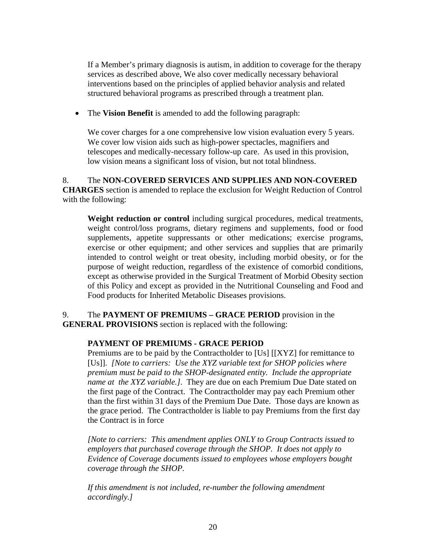If a Member's primary diagnosis is autism, in addition to coverage for the therapy services as described above, We also cover medically necessary behavioral interventions based on the principles of applied behavior analysis and related structured behavioral programs as prescribed through a treatment plan.

• The **Vision Benefit** is amended to add the following paragraph:

We cover charges for a one comprehensive low vision evaluation every 5 years. We cover low vision aids such as high-power spectacles, magnifiers and telescopes and medically-necessary follow-up care. As used in this provision, low vision means a significant loss of vision, but not total blindness.

8. The **NON-COVERED SERVICES AND SUPPLIES AND NON-COVERED CHARGES** section is amended to replace the exclusion for Weight Reduction of Control with the following:

**Weight reduction or control** including surgical procedures, medical treatments, weight control/loss programs, dietary regimens and supplements, food or food supplements, appetite suppressants or other medications; exercise programs, exercise or other equipment; and other services and supplies that are primarily intended to control weight or treat obesity, including morbid obesity, or for the purpose of weight reduction, regardless of the existence of comorbid conditions, except as otherwise provided in the Surgical Treatment of Morbid Obesity section of this Policy and except as provided in the Nutritional Counseling and Food and Food products for Inherited Metabolic Diseases provisions.

# 9. The **PAYMENT OF PREMIUMS – GRACE PERIOD** provision in the **GENERAL PROVISIONS** section is replaced with the following:

# **PAYMENT OF PREMIUMS - GRACE PERIOD**

Premiums are to be paid by the Contractholder to [Us] [[XYZ] for remittance to [Us]]. *[Note to carriers: Use the XYZ variable text for SHOP policies where premium must be paid to the SHOP-designated entity. Include the appropriate name at the XYZ variable.]*. They are due on each Premium Due Date stated on the first page of the Contract. The Contractholder may pay each Premium other than the first within 31 days of the Premium Due Date. Those days are known as the grace period. The Contractholder is liable to pay Premiums from the first day the Contract is in force

*[Note to carriers: This amendment applies ONLY to Group Contracts issued to employers that purchased coverage through the SHOP. It does not apply to Evidence of Coverage documents issued to employees whose employers bought coverage through the SHOP.*

*If this amendment is not included, re-number the following amendment accordingly.]*